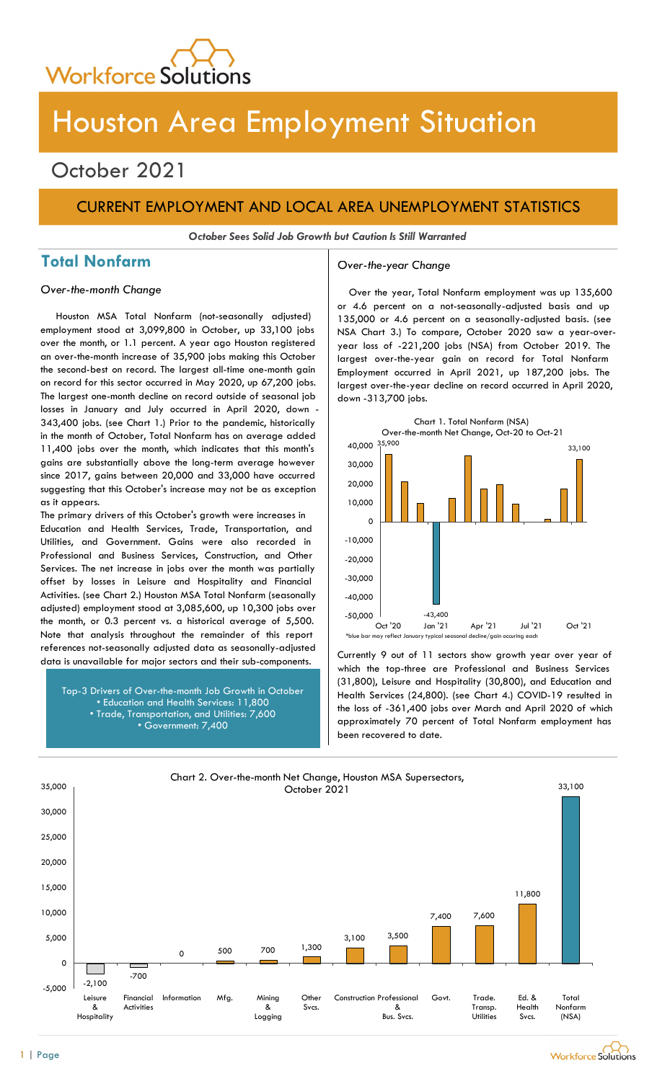

# Houston Area Employment Situation

## October 2021

## CURRENT EMPLOYMENT AND LOCAL AREA UNEMPLOYMENT STATISTICS

October Sees Solid Job Growth but Caution Is Still Warranted

## Total Nonfarm and Over-the-year Change

Houston MSA Total Nonfarm (not-seasonally adjusted) employment stood at 3,099,800 in October, up 33,100 jobs over the month, or 1.1 percent. A year ago Houston registered an over-the-month increase of 35,900 jobs making this October the second-best on record. The largest all-time one-month gain on record for this sector occurred in May 2020, up 67,200 jobs. The largest one-month decline on record outside of seasonal job losses in January and July occurred in April 2020, down - 343,400 jobs. (see Chart 1.) Prior to the pandemic, historically in the month of October, Total Nonfarm has on average added 11,400 jobs over the month, which indicates that this month's gains are substantially above the long-term average however since 2017, gains between 20,000 and 33,000 have occurred suggesting that this October's increase may not be as exception as it appears.

The primary drivers of this October's growth were increases in Education and Health Services, Trade, Transportation, and Utilities, and Government. Gains were also recorded in Professional and Business Services, Construction, and Other Services. The net increase in jobs over the month was partially offset by losses in Leisure and Hospitality and Financial Activities. (see Chart 2.) Houston MSA Total Nonfarm (seasonally adjusted) employment stood at 3,085,600, up 10,300 jobs over the month, or 0.3 percent vs. a historical average of 5,500. Note that analysis throughout the remainder of this report references not-seasonally adjusted data as seasonally-adjusted

Top-3 Drivers of Over-the-month Job Growth in October • Education and Health Services: 11,800 • Trade, Transportation, and Utilities: 7,600 • Government: 7,400

Over-the-month Change **Overthe-month Change Cover the year, Total Nonfarm employment was up 135,600** or 4.6 percent on a not-seasonally-adjusted basis and up 135,000 or 4.6 percent on a seasonally-adjusted basis. (see NSA Chart 3.) To compare, October 2020 saw a year-overyear loss of -221,200 jobs (NSA) from October 2019. The largest over-the-year gain on record for Total Nonfarm Employment occurred in April 2021, up 187,200 jobs. The largest over-the-year decline on record occurred in April 2020, down -313,700 jobs.



data is unavailable for major sectors and their sub-components. Currently 9 out of 11 sectors show growth year over year of which the top-three are Professional and Business Services (31,800), Leisure and Hospitality (30,800), and Education and Health Services (24,800). (see Chart 4.) COVID-19 resulted in the loss of -361,400 jobs over March and April 2020 of which approximately 70 percent of Total Nonfarm employment has been recovered to date.

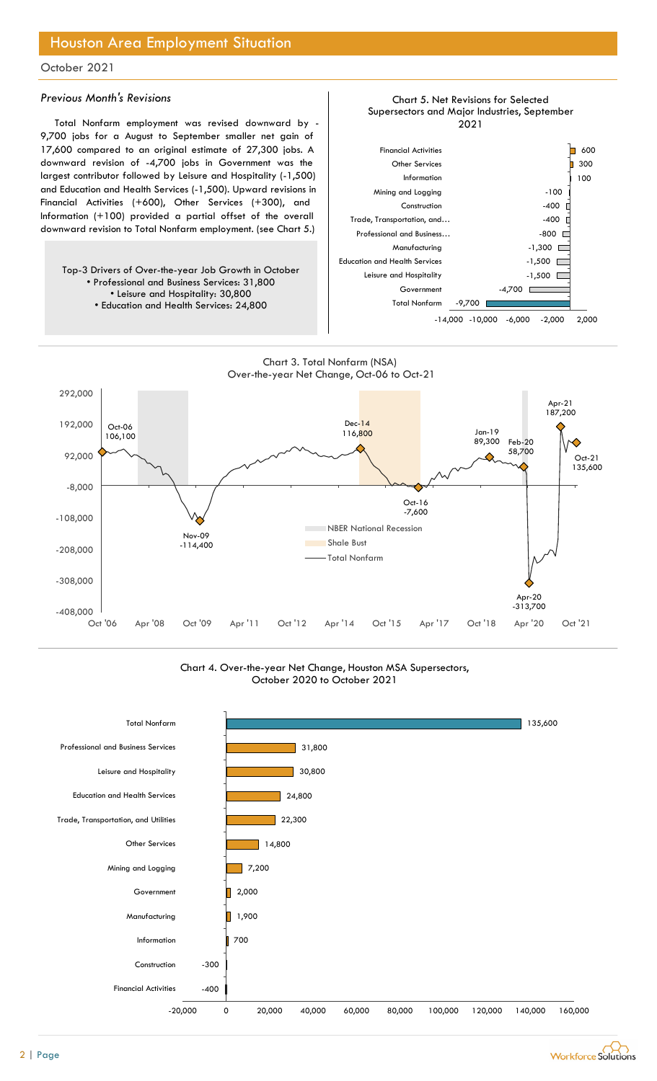## Houston Area Employment Situation

### October 2021

### Previous Month's Revisions

Total Nonfarm employment was revised downward by - 9,700 jobs for a August to September smaller net gain of 17,600 compared to an original estimate of 27,300 jobs. A downward revision of -4,700 jobs in Government was the largest contributor followed by Leisure and Hospitality (-1,500) and Education and Health Services (-1,500). Upward revisions in Financial Activities (+600), Other Services (+300), and Information (+100) provided a partial offset of the overall downward revision to Total Nonfarm employment. (see Chart 5.)

Top-3 Drivers of Over-the-year Job Growth in October • Professional and Business Services: 31,800 • Leisure and Hospitality: 30,800 • Education and Health Services: 24,800



Chart 5. Net Revisions for Selected

#### Chart 3. Total Nonfarm (NSA) Over-the-year Net Change, Oct-06 to Oct-21



#### Chart 4. Over-the-year Net Change, Houston MSA Supersectors, October 2020 to October 2021



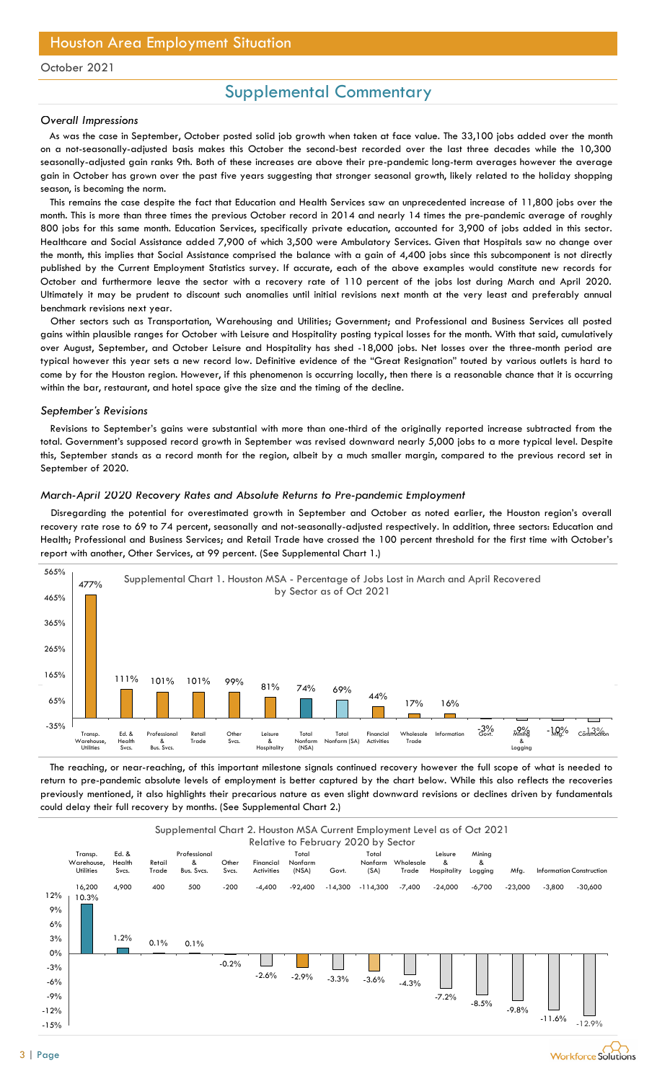## Supplemental Commentary

#### Overall Impressions

As was the case in September, October posted solid job growth when taken at face value. The 33,100 jobs added over the month on a not-seasonally-adjusted basis makes this October the second-best recorded over the last three decades while the 10,300 seasonally-adjusted gain ranks 9th. Both of these increases are above their pre-pandemic long-term averages however the average gain in October has grown over the past five years suggesting that stronger seasonal growth, likely related to the holiday shopping season, is becoming the norm.

This remains the case despite the fact that Education and Health Services saw an unprecedented increase of 11,800 jobs over the month. This is more than three times the previous October record in 2014 and nearly 14 times the pre-pandemic average of roughly 800 jobs for this same month. Education Services, specifically private education, accounted for 3,900 of jobs added in this sector. Healthcare and Social Assistance added 7,900 of which 3,500 were Ambulatory Services. Given that Hospitals saw no change over the month, this implies that Social Assistance comprised the balance with a gain of 4,400 jobs since this subcomponent is not directly published by the Current Employment Statistics survey. If accurate, each of the above examples would constitute new records for October and furthermore leave the sector with a recovery rate of 110 percent of the jobs lost during March and April 2020. Ultimately it may be prudent to discount such anomalies until initial revisions next month at the very least and preferably annual benchmark revisions next year.

Other sectors such as Transportation, Warehousing and Utilities; Government; and Professional and Business Services all posted gains within plausible ranges for October with Leisure and Hospitality posting typical losses for the month. With that said, cumulatively over August, September, and October Leisure and Hospitality has shed -18,000 jobs. Net losses over the three-month period are typical however this year sets a new record low. Definitive evidence of the "Great Resignation" touted by various outlets is hard to come by for the Houston region. However, if this phenomenon is occurring locally, then there is a reasonable chance that it is occurring within the bar, restaurant, and hotel space give the size and the timing of the decline.

#### September's Revisions

Revisions to September's gains were substantial with more than one-third of the originally reported increase subtracted from the total. Government's supposed record growth in September was revised downward nearly 5,000 jobs to a more typical level. Despite this, September stands as a record month for the region, albeit by a much smaller margin, compared to the previous record set in September of 2020.

### March-April 2020 Recovery Rates and Absolute Returns to Pre-pandemic Employment

Disregarding the potential for overestimated growth in September and October as noted earlier, the Houston region's overall recovery rate rose to 69 to 74 percent, seasonally and not-seasonally-adjusted respectively. In addition, three sectors: Education and Health; Professional and Business Services; and Retail Trade have crossed the 100 percent threshold for the first time with October's report with another, Other Services, at 99 percent. (See Supplemental Chart 1.)



The reaching, or near-reaching, of this important milestone signals continued recovery however the full scope of what is needed to return to pre-pandemic absolute levels of employment is better captured by the chart below. While this also reflects the recoveries previously mentioned, it also highlights their precarious nature as even slight downward revisions or declines driven by fundamentals could delay their full recovery by months. (See Supplemental Chart 2.)

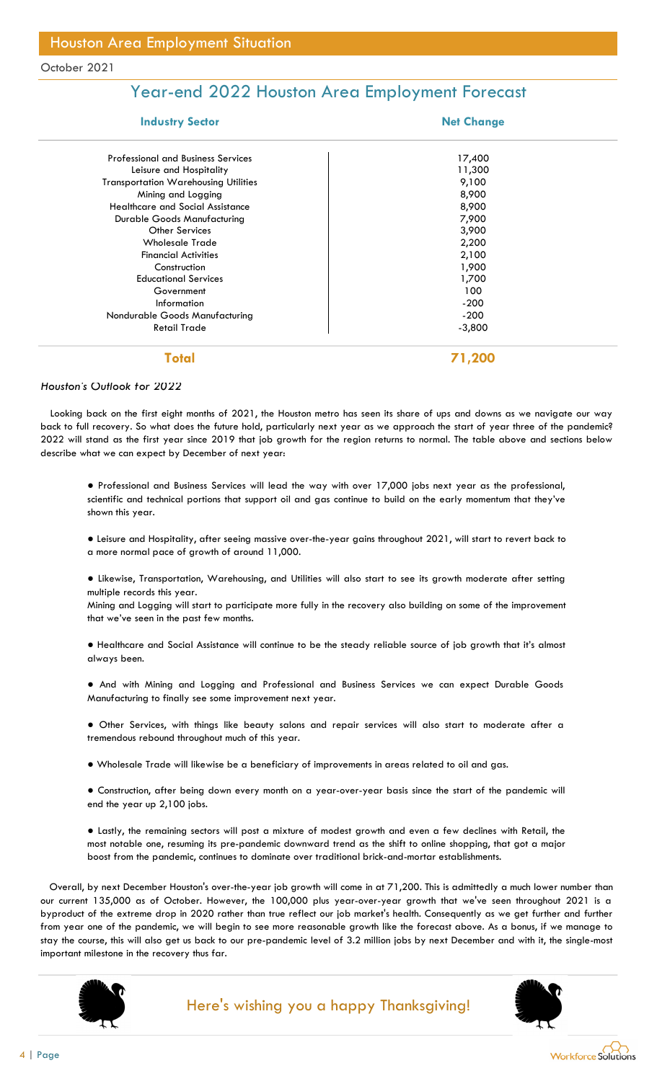## Year-end 2022 Houston Area Employment Forecast

| <b>Industry Sector</b>                      | <b>Net Change</b> |  |  |  |  |  |
|---------------------------------------------|-------------------|--|--|--|--|--|
| <b>Professional and Business Services</b>   | 17,400            |  |  |  |  |  |
| Leisure and Hospitality                     | 11,300            |  |  |  |  |  |
| <b>Transportation Warehousing Utilities</b> | 9,100             |  |  |  |  |  |
| Mining and Logging                          | 8,900             |  |  |  |  |  |
| <b>Healthcare and Social Assistance</b>     | 8,900             |  |  |  |  |  |
| Durable Goods Manufacturing                 | 7,900             |  |  |  |  |  |
| <b>Other Services</b>                       | 3,900             |  |  |  |  |  |
| <b>Wholesale Trade</b>                      | 2,200             |  |  |  |  |  |
| <b>Financial Activities</b>                 | 2,100             |  |  |  |  |  |
| Construction                                | 1,900             |  |  |  |  |  |
| <b>Educational Services</b>                 | 1,700             |  |  |  |  |  |
| Government                                  | 100               |  |  |  |  |  |
| Information                                 | $-200$            |  |  |  |  |  |
| Nondurable Goods Manufacturing              | $-200$            |  |  |  |  |  |
| <b>Retail Trade</b>                         | $-3,800$          |  |  |  |  |  |
| Total                                       | 71,200            |  |  |  |  |  |

### Houston's Outlook for 2022

Looking back on the first eight months of 2021, the Houston metro has seen its share of ups and downs as we navigate our way back to full recovery. So what does the future hold, particularly next year as we approach the start of year three of the pandemic? 2022 will stand as the first year since 2019 that job growth for the region returns to normal. The table above and sections below describe what we can expect by December of next year:

● Professional and Business Services will lead the way with over 17,000 jobs next year as the professional, scientific and technical portions that support oil and gas continue to build on the early momentum that they've shown this year.

● Leisure and Hospitality, after seeing massive over-the-year gains throughout 2021, will start to revert back to a more normal pace of growth of around 11,000.

● Likewise, Transportation, Warehousing, and Utilities will also start to see its growth moderate after setting multiple records this year.

Mining and Logging will start to participate more fully in the recovery also building on some of the improvement that we've seen in the past few months.

● Healthcare and Social Assistance will continue to be the steady reliable source of job growth that it's almost always been.

● And with Mining and Logging and Professional and Business Services we can expect Durable Goods Manufacturing to finally see some improvement next year.

● Other Services, with things like beauty salons and repair services will also start to moderate after a tremendous rebound throughout much of this year.

● Wholesale Trade will likewise be a beneficiary of improvements in areas related to oil and gas.

● Construction, after being down every month on a year-over-year basis since the start of the pandemic will end the year up 2,100 jobs.

● Lastly, the remaining sectors will post a mixture of modest growth and even a few declines with Retail, the most notable one, resuming its pre-pandemic downward trend as the shift to online shopping, that got a major boost from the pandemic, continues to dominate over traditional brick-and-mortar establishments.

Overall, by next December Houston's over-the-year job growth will come in at 71,200. This is admittedly a much lower number than our current 135,000 as of October. However, the 100,000 plus year-over-year growth that we've seen throughout 2021 is a byproduct of the extreme drop in 2020 rather than true reflect our job market's health. Consequently as we get further and further from year one of the pandemic, we will begin to see more reasonable growth like the forecast above. As a bonus, if we manage to stay the course, this will also get us back to our pre-pandemic level of 3.2 million jobs by next December and with it, the single-most important milestone in the recovery thus far.



## Here's wishing you a happy Thanksgiving!



**Workforce Solutions**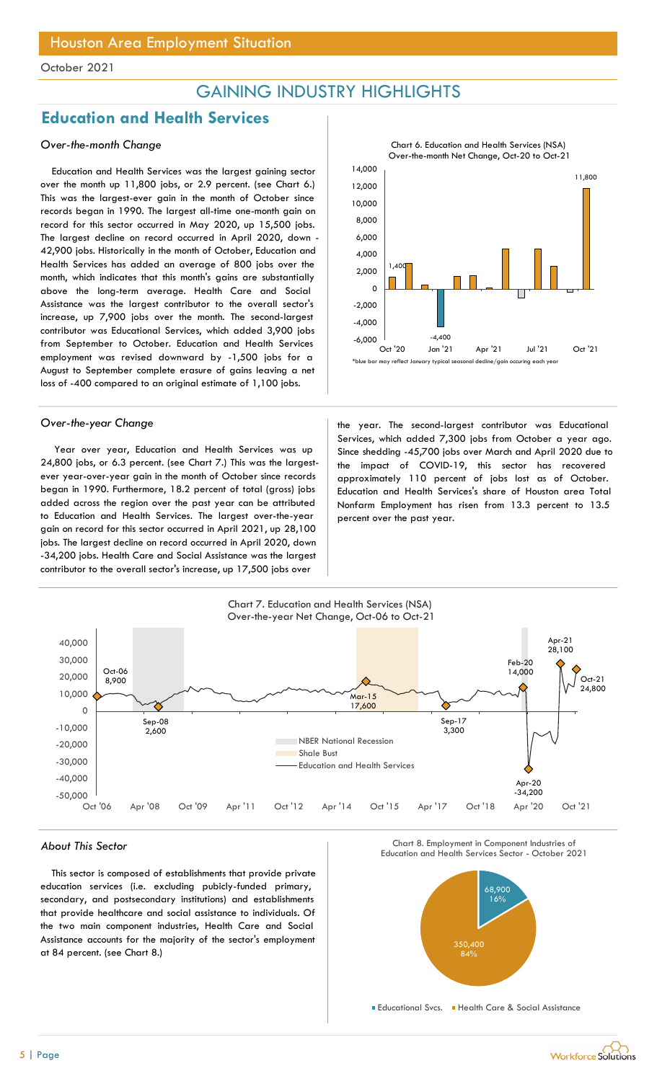## GAINING INDUSTRY HIGHLIGHTS

## Education and Health Services

### Over-the-month Change

Education and Health Services was the largest gaining sector over the month up 11,800 jobs, or 2.9 percent. (see Chart 6.) This was the largest-ever gain in the month of October since records began in 1990. The largest all-time one-month gain on record for this sector occurred in May 2020, up 15,500 jobs. The largest decline on record occurred in April 2020, down - 42,900 jobs. Historically in the month of October, Education and Health Services has added an average of 800 jobs over the month, which indicates that this month's gains are substantially above the long-term average. Health Care and Social Assistance was the largest contributor to the overall sector's increase, up 7,900 jobs over the month. The second-largest contributor was Educational Services, which added 3,900 jobs from September to October. Education and Health Services employment was revised downward by -1,500 jobs for a August to September complete erasure of gains leaving a net loss of -400 compared to an original estimate of 1,100 jobs.

Year over year, Education and Health Services was up 24,800 jobs, or 6.3 percent. (see Chart 7.) This was the largestever year-over-year gain in the month of October since records began in 1990. Furthermore, 18.2 percent of total (gross) jobs added across the region over the past year can be attributed to Education and Health Services. The largest over-the-year gain on record for this sector occurred in April 2021, up 28,100 jobs. The largest decline on record occurred in April 2020, down -34,200 jobs. Health Care and Social Assistance was the largest contributor to the overall sector's increase, up 17,500 jobs over



Over-the-year Change the year. The second-largest contributor was Educational Services, which added 7,300 jobs from October a year ago. Since shedding -45,700 jobs over March and April 2020 due to the impact of COVID-19, this sector has recovered approximately 110 percent of jobs lost as of October. Education and Health Services's share of Houston area Total Nonfarm Employment has risen from 13.3 percent to 13.5 percent over the past year.



This sector is composed of establishments that provide private education services (i.e. excluding pubicly-funded primary, secondary, and postsecondary institutions) and establishments that provide healthcare and social assistance to individuals. Of the two main component industries, Health Care and Social Assistance accounts for the majority of the sector's employment at 84 percent. (see Chart 8.)





Educational Svcs. Health Care & Social Assistance

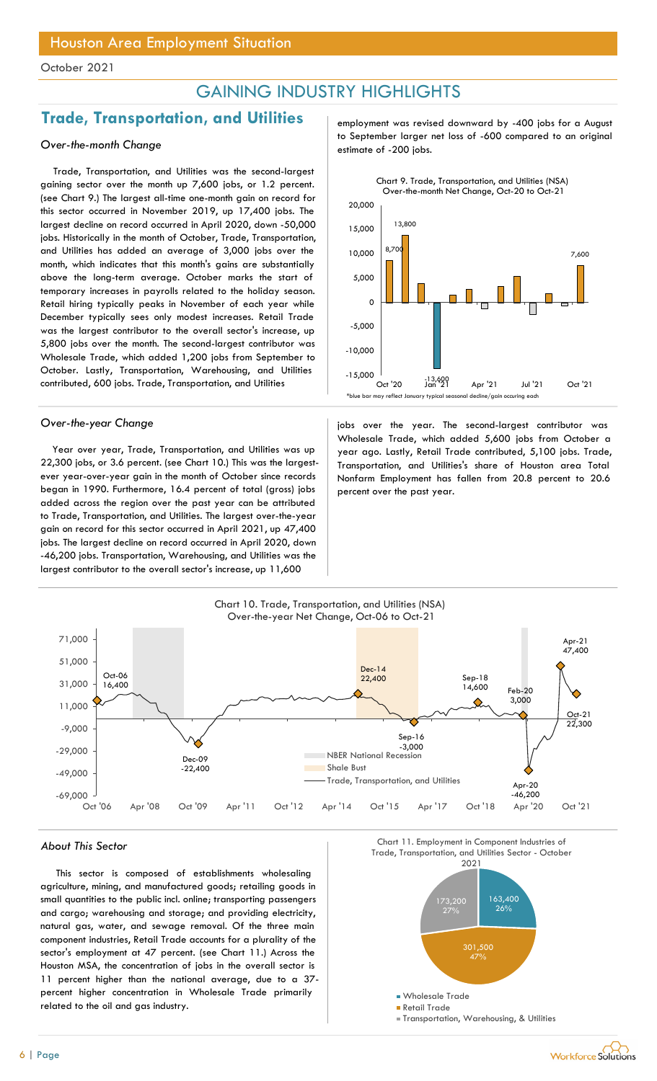## GAINING INDUSTRY HIGHLIGHTS

## Trade, Transportation, and Utilities Franployment was revised downward by -400 jobs for a August

Trade, Transportation, and Utilities was the second-largest gaining sector over the month up 7,600 jobs, or 1.2 percent. (see Chart 9.) The largest all-time one-month gain on record for this sector occurred in November 2019, up 17,400 jobs. The largest decline on record occurred in April 2020, down -50,000 jobs. Historically in the month of October, Trade, Transportation, and Utilities has added an average of 3,000 jobs over the month, which indicates that this month's gains are substantially above the long-term average. October marks the start of temporary increases in payrolls related to the holiday season. Retail hiring typically peaks in November of each year while December typically sees only modest increases. Retail Trade was the largest contributor to the overall sector's increase, up 5,800 jobs over the month. The second-largest contributor was Wholesale Trade, which added 1,200 jobs from September to October. Lastly, Transportation, Warehousing, and Utilities contributed, 600 jobs. Trade, Transportation, and Utilities

Year over year, Trade, Transportation, and Utilities was up 22,300 jobs, or 3.6 percent. (see Chart 10.) This was the largestever year-over-year gain in the month of October since records began in 1990. Furthermore, 16.4 percent of total (gross) jobs added across the region over the past year can be attributed to Trade, Transportation, and Utilities. The largest over-the-year gain on record for this sector occurred in April 2021, up 47,400 jobs. The largest decline on record occurred in April 2020, down -46,200 jobs. Transportation, Warehousing, and Utilities was the largest contributor to the overall sector's increase, up 11,600

to September larger net loss of -600 compared to an original<br>estimate of -200 jobs.



Over-the-year Change in the second-largest contributor was in the year. The second-largest contributor was Wholesale Trade, which added 5,600 jobs from October a year ago. Lastly, Retail Trade contributed, 5,100 jobs. Trade, Transportation, and Utilities's share of Houston area Total Nonfarm Employment has fallen from 20.8 percent to 20.6 percent over the past year.



This sector is composed of establishments wholesaling agriculture, mining, and manufactured goods; retailing goods in small quantities to the public incl. online; transporting passengers and cargo; warehousing and storage; and providing electricity, natural gas, water, and sewage removal. Of the three main component industries, Retail Trade accounts for a plurality of the sector's employment at 47 percent. (see Chart 11.) Across the Houston MSA, the concentration of jobs in the overall sector is 11 percent higher than the national average, due to a 37 percent higher concentration in Wholesale Trade primarily related to the oil and gas industry.

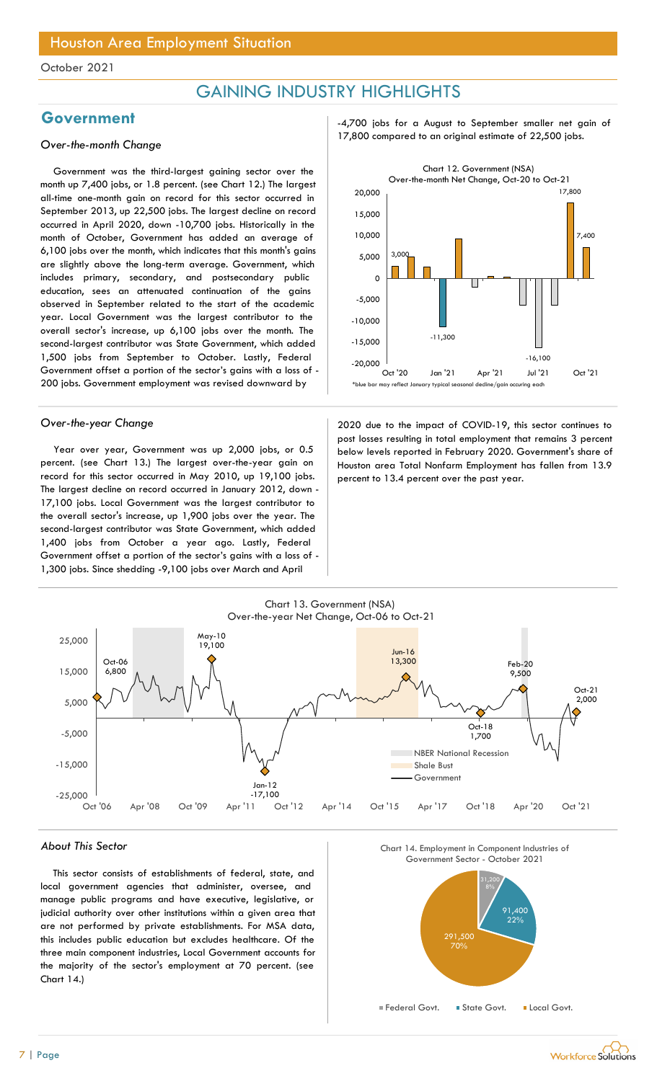## GAINING INDUSTRY HIGHLIGHTS

Government was the third-largest gaining sector over the month up 7,400 jobs, or 1.8 percent. (see Chart 12.) The largest all-time one-month gain on record for this sector occurred in September 2013, up 22,500 jobs. The largest decline on record occurred in April 2020, down -10,700 jobs. Historically in the month of October, Government has added an average of 6,100 jobs over the month, which indicates that this month's gains are slightly above the long-term average. Government, which includes primary, secondary, and postsecondary public education, sees an attenuated continuation of the gains observed in September related to the start of the academic year. Local Government was the largest contributor to the overall sector's increase, up 6,100 jobs over the month. The second-largest contributor was State Government, which added 1,500 jobs from September to October. Lastly, Federal Government offset a portion of the sector's gains with a loss of - 200 jobs. Government employment was revised downward by

Year over year, Government was up 2,000 jobs, or 0.5 percent. (see Chart 13.) The largest over-the-year gain on record for this sector occurred in May 2010, up 19,100 jobs. The largest decline on record occurred in January 2012, down - 17,100 jobs. Local Government was the largest contributor to the overall sector's increase, up 1,900 jobs over the year. The second-largest contributor was State Government, which added 1,400 jobs from October a year ago. Lastly, Federal Government offset a portion of the sector's gains with a loss of - 1,300 jobs. Since shedding -9,100 jobs over March and April

Government **Government** -4,700 jobs for a August to September smaller net gain of 17,800 compared to an original estimate of 22,500 jobs. Over-the-month Change



Over-the-year Change 2020 due to the impact of COVID-19, this sector continues to post losses resulting in total employment that remains 3 percent below levels reported in February 2020. Government's share of Houston area Total Nonfarm Employment has fallen from 13.9 percent to 13.4 percent over the past year.



#### About This Sector

This sector consists of establishments of federal, state, and local government agencies that administer, oversee, and manage public programs and have executive, legislative, or judicial authority over other institutions within a given area that are not performed by private establishments. For MSA data, this includes public education but excludes healthcare. Of the three main component industries, Local Government accounts for the majority of the sector's employment at 70 percent. (see Chart 14.)





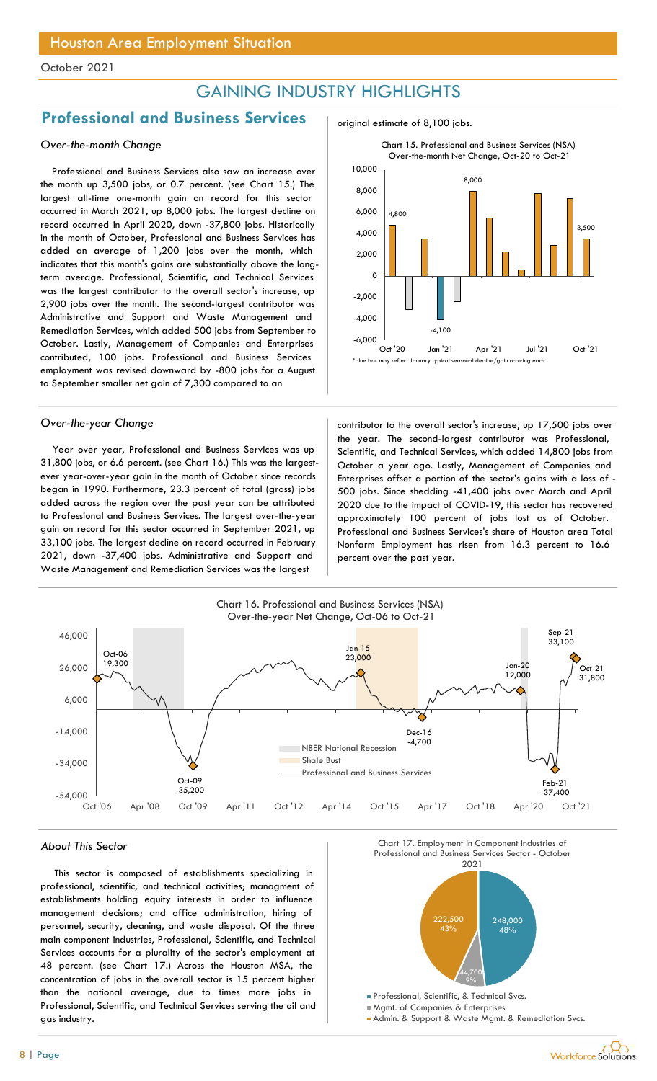## GAINING INDUSTRY HIGHLIGHTS

## Professional and Business Services and original estimate of 8,100 jobs.

### Over-the-month Change

Professional and Business Services also saw an increase over the month up 3,500 jobs, or 0.7 percent. (see Chart 15.) The largest all-time one-month gain on record for this sector occurred in March 2021, up 8,000 jobs. The largest decline on record occurred in April 2020, down -37,800 jobs. Historically in the month of October, Professional and Business Services has added an average of 1,200 jobs over the month, which indicates that this month's gains are substantially above the longterm average. Professional, Scientific, and Technical Services was the largest contributor to the overall sector's increase, up 2,900 jobs over the month. The second-largest contributor was Administrative and Support and Waste Management and Remediation Services, which added 500 jobs from September to October. Lastly, Management of Companies and Enterprises contributed, 100 jobs. Professional and Business Services employment was revised downward by -800 jobs for a August to September smaller net gain of 7,300 compared to an

Year over year, Professional and Business Services was up 31,800 jobs, or 6.6 percent. (see Chart 16.) This was the largestever year-over-year gain in the month of October since records began in 1990. Furthermore, 23.3 percent of total (gross) jobs added across the region over the past year can be attributed to Professional and Business Services. The largest over-the-year gain on record for this sector occurred in September 2021, up 33,100 jobs. The largest decline on record occurred in February 2021, down -37,400 jobs. Administrative and Support and Waste Management and Remediation Services was the largest





Over-the-year Change contributor to the overall sector's increase, up 17,500 jobs over the year. The second-largest contributor was Professional, Scientific, and Technical Services, which added 14,800 jobs from October a year ago. Lastly, Management of Companies and Enterprises offset a portion of the sector's gains with a loss of - 500 jobs. Since shedding -41,400 jobs over March and April 2020 due to the impact of COVID-19, this sector has recovered approximately 100 percent of jobs lost as of October. Professional and Business Services's share of Houston area Total Nonfarm Employment has risen from 16.3 percent to 16.6 percent over the past year.



This sector is composed of establishments specializing in professional, scientific, and technical activities; managment of establishments holding equity interests in order to influence management decisions; and office administration, hiring of personnel, security, cleaning, and waste disposal. Of the three main component industries, Professional, Scientific, and Technical Services accounts for a plurality of the sector's employment at 48 percent. (see Chart 17.) Across the Houston MSA, the concentration of jobs in the overall sector is 15 percent higher than the national average, due to times more jobs in Professional, Scientific, and Technical Services serving the oil and gas industry.



Mgmt. of Companies & Enterprises

Admin. & Support & Waste Mgmt. & Remediation Svcs.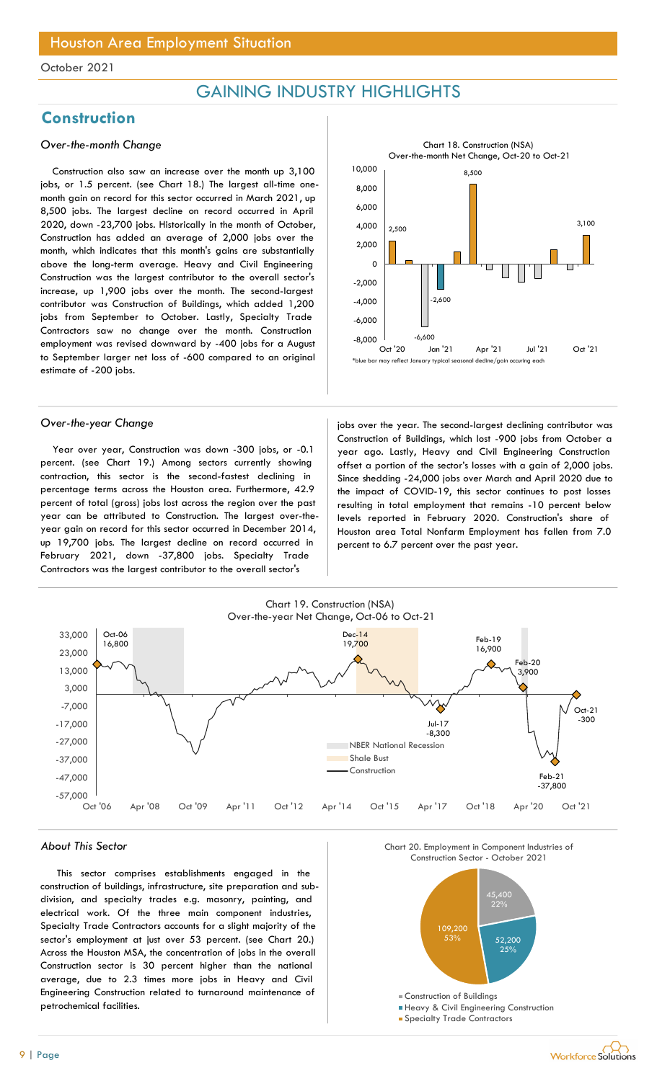## GAINING INDUSTRY HIGHLIGHTS

## **Construction**

### Over-the-month Change

Construction also saw an increase over the month up 3,100 jobs, or 1.5 percent. (see Chart 18.) The largest all-time onemonth gain on record for this sector occurred in March 2021, up 8,500 jobs. The largest decline on record occurred in April 2020, down -23,700 jobs. Historically in the month of October, Construction has added an average of 2,000 jobs over the month, which indicates that this month's gains are substantially above the long-term average. Heavy and Civil Engineering Construction was the largest contributor to the overall sector's increase, up 1,900 jobs over the month. The second-largest contributor was Construction of Buildings, which added 1,200 jobs from September to October. Lastly, Specialty Trade Contractors saw no change over the month. Construction employment was revised downward by -400 jobs for a August to September larger net loss of -600 compared to an original estimate of -200 jobs.

Year over year, Construction was down -300 jobs, or -0.1 percent. (see Chart 19.) Among sectors currently showing contraction, this sector is the second-fastest declining in percentage terms across the Houston area. Furthermore, 42.9 percent of total (gross) jobs lost across the region over the past year can be attributed to Construction. The largest over-theyear gain on record for this sector occurred in December 2014, up 19,700 jobs. The largest decline on record occurred in February 2021, down -37,800 jobs. Specialty Trade Contractors was the largest contributor to the overall sector's



Over-the-year Change in the second-largest declining contributor was Construction of Buildings, which lost -900 jobs from October a year ago. Lastly, Heavy and Civil Engineering Construction offset a portion of the sector's losses with a gain of 2,000 jobs. Since shedding -24,000 jobs over March and April 2020 due to the impact of COVID-19, this sector continues to post losses resulting in total employment that remains -10 percent below levels reported in February 2020. Construction's share of Houston area Total Nonfarm Employment has fallen from 7.0 percent to 6.7 percent over the past year.



#### About This Sector

This sector comprises establishments engaged in the construction of buildings, infrastructure, site preparation and subdivision, and specialty trades e.g. masonry, painting, and electrical work. Of the three main component industries, Specialty Trade Contractors accounts for a slight majority of the sector's employment at just over 53 percent. (see Chart 20.) Across the Houston MSA, the concentration of jobs in the overall Construction sector is 30 percent higher than the national average, due to 2.3 times more jobs in Heavy and Civil Engineering Construction related to turnaround maintenance of petrochemical facilities.

Chart\_C\_12 Chart 20. Employment in Component Industries of



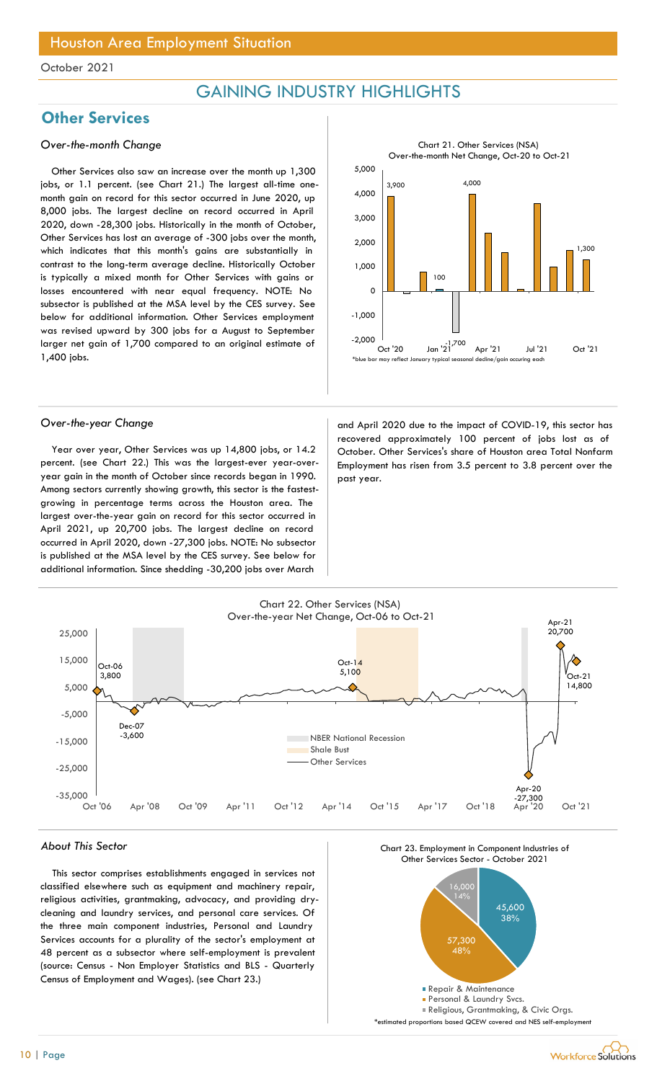## GAINING INDUSTRY HIGHLIGHTS

## **Other Services**

### Over-the-month Change

Other Services also saw an increase over the month up 1,300 jobs, or 1.1 percent. (see Chart 21.) The largest all-time onemonth gain on record for this sector occurred in June 2020, up 8,000 jobs. The largest decline on record occurred in April 2020, down -28,300 jobs. Historically in the month of October, Other Services has lost an average of -300 jobs over the month, which indicates that this month's gains are substantially in contrast to the long-term average decline. Historically October is typically a mixed month for Other Services with gains or losses encountered with near equal frequency. NOTE: No subsector is published at the MSA level by the CES survey. See below for additional information. Other Services employment was revised upward by 300 jobs for a August to September larger net gain of 1,700 compared to an original estimate of 1,400 jobs.



Year over year, Other Services was up 14,800 jobs, or 14.2 percent. (see Chart 22.) This was the largest-ever year-overyear gain in the month of October since records began in 1990. Among sectors currently showing growth, this sector is the fastestgrowing in percentage terms across the Houston area. The largest over-the-year gain on record for this sector occurred in April 2021, up 20,700 jobs. The largest decline on record occurred in April 2020, down -27,300 jobs. NOTE: No subsector is published at the MSA level by the CES survey. See below for additional information. Since shedding -30,200 jobs over March



Over-the-year Change and April 2020 due to the impact of COVID-19, this sector has recovered approximately 100 percent of jobs lost as of October. Other Services's share of Houston area Total Nonfarm Employment has risen from 3.5 percent to 3.8 percent over the past year.



#### About This Sector

This sector comprises establishments engaged in services not classified elsewhere such as equipment and machinery repair, religious activities, grantmaking, advocacy, and providing drycleaning and laundry services, and personal care services. Of the three main component industries, Personal and Laundry Services accounts for a plurality of the sector's employment at 48 percent as a subsector where self-employment is prevalent (source: Census - Non Employer Statistics and BLS - Quarterly Census of Employment and Wages). (see Chart 23.)



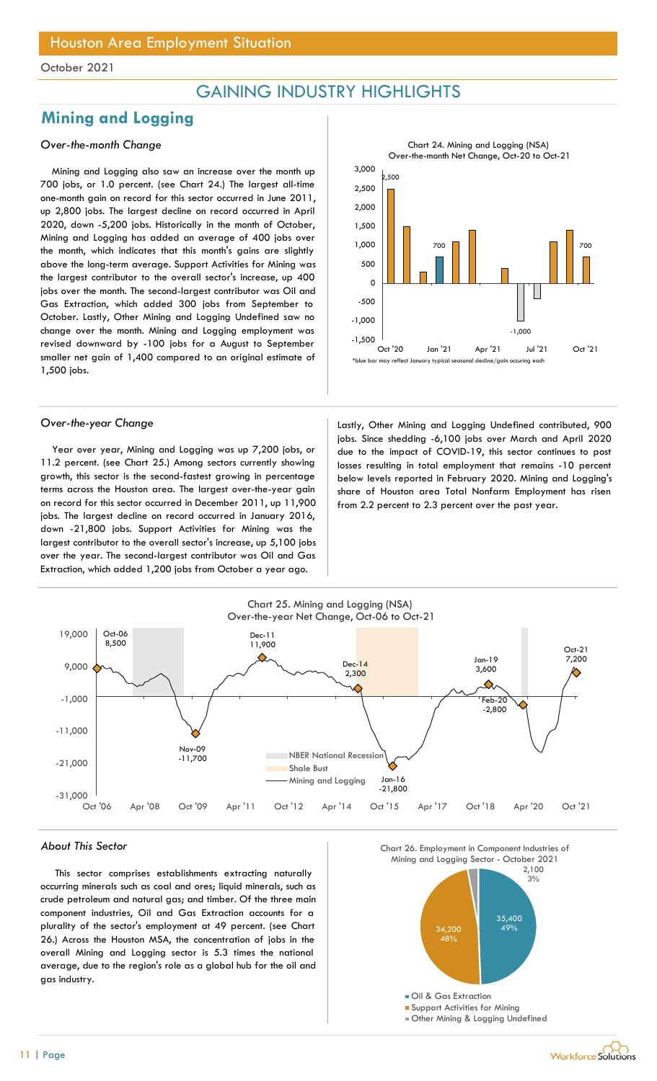## GAINING INDUSTRY HIGHLIGHTS

## Mining and Logging

### Over-the-month Change

Mining and Logging also saw an increase over the month up 700 jobs, or 1.0 percent. (see Chart 24.) The largest all-time one-month gain on record for this sector occurred in June 2011, up 2,800 jobs. The largest decline on record occurred in April 2020, down -5,200 jobs. Historically in the month of October, Mining and Logging has added an average of 400 jobs over the month, which indicates that this month's gains are slightly above the long-term average. Support Activities for Mining was the largest contributor to the overall sector's increase, up 400 jobs over the month. The second-largest contributor was Oil and Gas Extraction, which added 300 jobs from September to October. Lastly, Other Mining and Logging Undefined saw no change over the month. Mining and Logging employment was revised downward by -100 jobs for a August to September smaller net gain of 1,400 compared to an original estimate of 1,500 jobs.

Year over year, Mining and Logging was up 7,200 jobs, or 11.2 percent. (see Chart 25.) Among sectors currently showing growth, this sector is the second-fastest growing in percentage terms across the Houston area. The largest over-the-year gain on record for this sector occurred in December 2011, up 11,900 jobs. The largest decline on record occurred in January 2016, down -21,800 jobs. Support Activities for Mining was the largest contributor to the overall sector's increase, up 5,100 jobs over the year. The second-largest contributor was Oil and Gas Extraction, which added 1,200 jobs from October a year ago.



Over-the-year Change and Lastly, Other Mining and Logging Undefined contributed, 900 jobs. Since shedding -6,100 jobs over March and April 2020 due to the impact of COVID-19, this sector continues to post losses resulting in total employment that remains -10 percent below levels reported in February 2020. Mining and Logging's share of Houston area Total Nonfarm Employment has risen from 2.2 percent to 2.3 percent over the past year.



#### About This Sector

This sector comprises establishments extracting naturally occurring minerals such as coal and ores; liquid minerals, such as crude petroleum and natural gas; and timber. Of the three main component industries, Oil and Gas Extraction accounts for a plurality of the sector's employment at 49 percent. (see Chart 26.) Across the Houston MSA, the concentration of jobs in the overall Mining and Logging sector is 5.3 times the national average, due to the region's role as a global hub for the oil and gas industry.

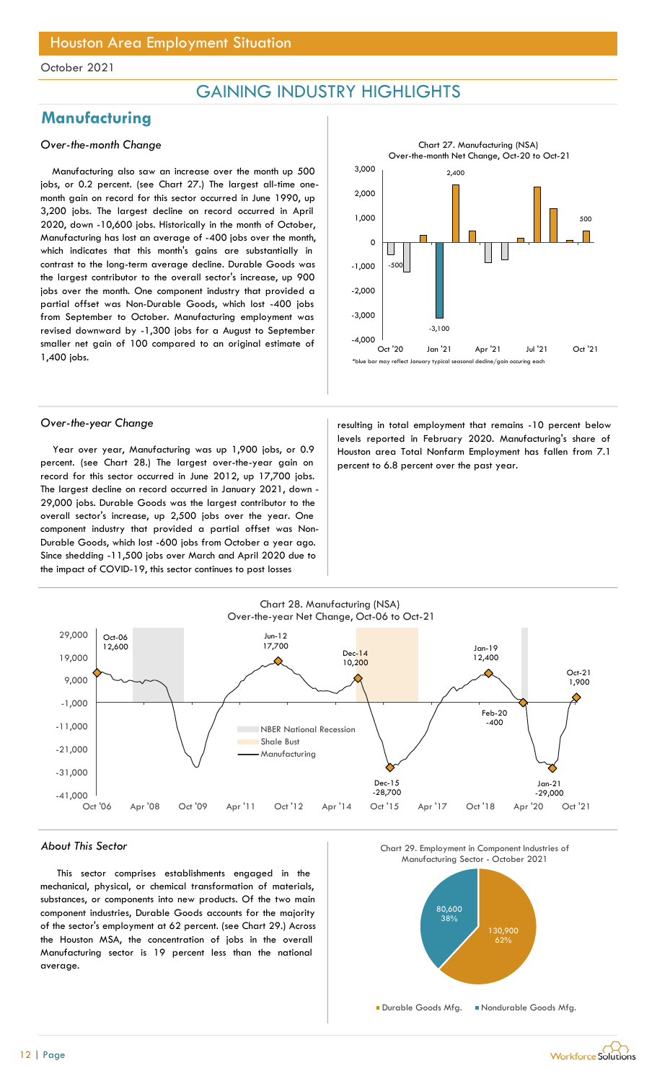## GAINING INDUSTRY HIGHLIGHTS

## **Manufacturing**

### Over-the-month Change

Manufacturing also saw an increase over the month up 500 jobs, or 0.2 percent. (see Chart 27.) The largest all-time onemonth gain on record for this sector occurred in June 1990, up 3,200 jobs. The largest decline on record occurred in April 2020, down -10,600 jobs. Historically in the month of October, Manufacturing has lost an average of -400 jobs over the month, which indicates that this month's gains are substantially in contrast to the long-term average decline. Durable Goods was the largest contributor to the overall sector's increase, up 900 jobs over the month. One component industry that provided a partial offset was Non-Durable Goods, which lost -400 jobs from September to October. Manufacturing employment was revised downward by -1,300 jobs for a August to September smaller net gain of 100 compared to an original estimate of 1,400 jobs.

Year over year, Manufacturing was up 1,900 jobs, or 0.9 percent. (see Chart 28.) The largest over-the-year gain on record for this sector occurred in June 2012, up 17,700 jobs. The largest decline on record occurred in January 2021, down - 29,000 jobs. Durable Goods was the largest contributor to the overall sector's increase, up 2,500 jobs over the year. One component industry that provided a partial offset was Non-Durable Goods, which lost -600 jobs from October a year ago. Since shedding -11,500 jobs over March and April 2020 due to the impact of COVID-19, this sector continues to post losses



Over-the-year Change and the resulting in total employment that remains -10 percent below levels reported in February 2020. Manufacturing's share of Houston area Total Nonfarm Employment has fallen from 7.1 percent to 6.8 percent over the past year.



#### About This Sector

This sector comprises establishments engaged in the mechanical, physical, or chemical transformation of materials, substances, or components into new products. Of the two main component industries, Durable Goods accounts for the majority of the sector's employment at 62 percent. (see Chart 29.) Across the Houston MSA, the concentration of jobs in the overall Manufacturing sector is 19 percent less than the national average.





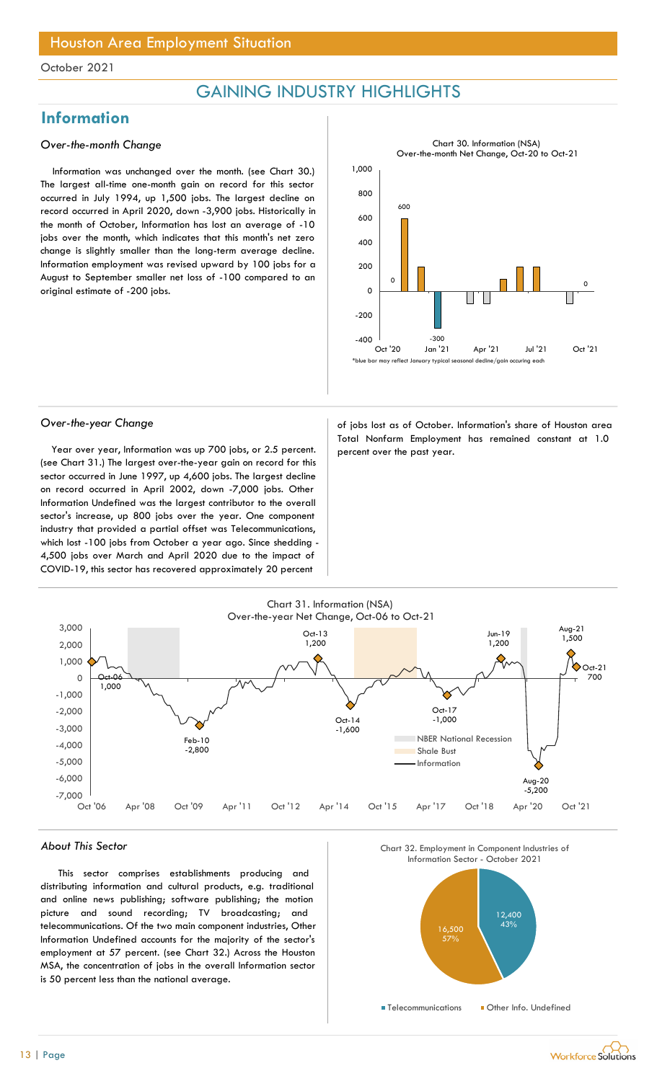## GAINING INDUSTRY HIGHLIGHTS

## Information

### Over-the-month Change

Information was unchanged over the month. (see Chart 30.) The largest all-time one-month gain on record for this sector occurred in July 1994, up 1,500 jobs. The largest decline on record occurred in April 2020, down -3,900 jobs. Historically in the month of October, Information has lost an average of -10 jobs over the month, which indicates that this month's net zero change is slightly smaller than the long-term average decline. Information employment was revised upward by 100 jobs for a August to September smaller net loss of -100 compared to an original estimate of -200 jobs.



Year over year, Information was up 700 jobs, or 2.5 percent. percent over the past year. (see Chart 31.) The largest over-the-year gain on record for this sector occurred in June 1997, up 4,600 jobs. The largest decline on record occurred in April 2002, down -7,000 jobs. Other Information Undefined was the largest contributor to the overall sector's increase, up 800 jobs over the year. One component industry that provided a partial offset was Telecommunications, which lost -100 jobs from October a year ago. Since shedding - 4,500 jobs over March and April 2020 due to the impact of COVID-19, this sector has recovered approximately 20 percent

Over-the-year Change and a set of jobs lost as of October. Information's share of Houston area Total Nonfarm Employment has remained constant at 1.0



#### About This Sector

This sector comprises establishments producing and distributing information and cultural products, e.g. traditional and online news publishing; software publishing; the motion picture and sound recording; TV broadcasting; and telecommunications. Of the two main component industries, Other Information Undefined accounts for the majority of the sector's employment at 57 percent. (see Chart 32.) Across the Houston MSA, the concentration of jobs in the overall Information sector is 50 percent less than the national average.



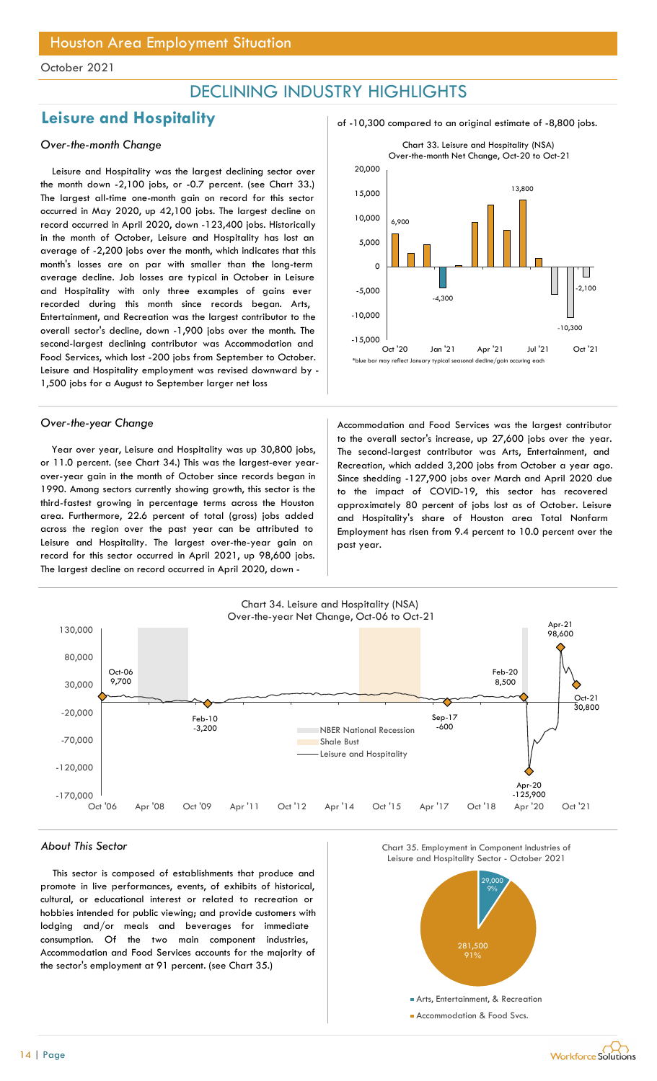## DECLINING INDUSTRY HIGHLIGHTS

## Leisure and Hospitality and  $\frac{1}{2}$  of -10,300 compared to an original estimate of -8,800 jobs.

### Over-the-month Change

Leisure and Hospitality was the largest declining sector over the month down -2,100 jobs, or -0.7 percent. (see Chart 33.) The largest all-time one-month gain on record for this sector occurred in May 2020, up 42,100 jobs. The largest decline on record occurred in April 2020, down -123,400 jobs. Historically in the month of October, Leisure and Hospitality has lost an average of -2,200 jobs over the month, which indicates that this month's losses are on par with smaller than the long-term average decline. Job losses are typical in October in Leisure and Hospitality with only three examples of gains ever recorded during this month since records began. Arts, Entertainment, and Recreation was the largest contributor to the overall sector's decline, down -1,900 jobs over the month. The second-largest declining contributor was Accommodation and Food Services, which lost -200 jobs from September to October. Leisure and Hospitality employment was revised downward by - 1,500 jobs for a August to September larger net loss

Year over year, Leisure and Hospitality was up 30,800 jobs, or 11.0 percent. (see Chart 34.) This was the largest-ever yearover-year gain in the month of October since records began in 1990. Among sectors currently showing growth, this sector is the third-fastest growing in percentage terms across the Houston area. Furthermore, 22.6 percent of total (gross) jobs added across the region over the past year can be attributed to Leisure and Hospitality. The largest over-the-year gain on record for this sector occurred in April 2021, up 98,600 jobs. The largest decline on record occurred in April 2020, down -





Over-the-year Change and Theorem Accommodation and Food Services was the largest contributor to the overall sector's increase, up 27,600 jobs over the year. The second-largest contributor was Arts, Entertainment, and Recreation, which added 3,200 jobs from October a year ago. Since shedding -127,900 jobs over March and April 2020 due to the impact of COVID-19, this sector has recovered approximately 80 percent of jobs lost as of October. Leisure and Hospitality's share of Houston area Total Nonfarm Employment has risen from 9.4 percent to 10.0 percent over the past year.



This sector is composed of establishments that produce and promote in live performances, events, of exhibits of historical, cultural, or educational interest or related to recreation or hobbies intended for public viewing; and provide customers with lodging and/or meals and beverages for immediate consumption. Of the two main component industries, Accommodation and Food Services accounts for the majority of the sector's employment at 91 percent. (see Chart 35.)





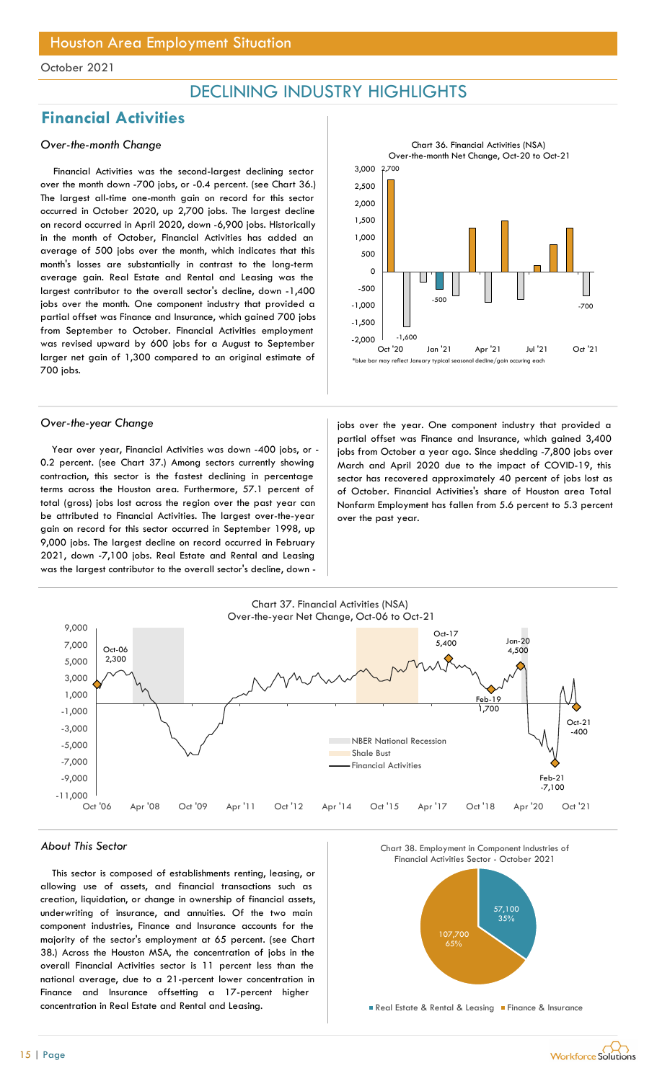## DECLINING INDUSTRY HIGHLIGHTS

## Financial Activities

### Over-the-month Change

Financial Activities was the second-largest declining sector over the month down -700 jobs, or -0.4 percent. (see Chart 36.) The largest all-time one-month gain on record for this sector occurred in October 2020, up 2,700 jobs. The largest decline on record occurred in April 2020, down -6,900 jobs. Historically in the month of October, Financial Activities has added an average of 500 jobs over the month, which indicates that this month's losses are substantially in contrast to the long-term average gain. Real Estate and Rental and Leasing was the largest contributor to the overall sector's decline, down -1,400 jobs over the month. One component industry that provided a partial offset was Finance and Insurance, which gained 700 jobs from September to October. Financial Activities employment was revised upward by 600 jobs for a August to September larger net gain of 1,300 compared to an original estimate of 700 jobs.

Year over year, Financial Activities was down -400 jobs, or - 0.2 percent. (see Chart 37.) Among sectors currently showing contraction, this sector is the fastest declining in percentage terms across the Houston area. Furthermore, 57.1 percent of total (gross) jobs lost across the region over the past year can be attributed to Financial Activities. The largest over-the-year gain on record for this sector occurred in September 1998, up 9,000 jobs. The largest decline on record occurred in February 2021, down -7,100 jobs. Real Estate and Rental and Leasing was the largest contributor to the overall sector's decline, down -

2.000 2,700 -1,600 -500 -700  $-2,000$   $-1,600$  $-1,500$   $\Box$ -1,000 -500 ㅇ├<del>┖╴╓╷╓╷╓╶╓╶╚╵╒╷╚╵╒╷╚╵╚</del> 500 1,000 1,500 **|| |** 2,000 2,500 **|| |** 3,000 Oct '20 Jan '21 Apr '21 Jul '21 Oct '21 Chart 36. Financial Activities (NSA) Over-the-month Net Change, Oct-20 to Oct-21  $^{\text{\tiny{\textsf{t}}} }$ blue bar may reflect January typical seasonal decline/gain occuring each

Over-the-year Change in the search industry that provided a jobs over the year. One component industry that provided a partial offset was Finance and Insurance, which gained 3,400 jobs from October a year ago. Since shedding -7,800 jobs over March and April 2020 due to the impact of COVID-19, this sector has recovered approximately 40 percent of jobs lost as of October. Financial Activities's share of Houston area Total Nonfarm Employment has fallen from 5.6 percent to 5.3 percent over the past year.



#### About This Sector

This sector is composed of establishments renting, leasing, or allowing use of assets, and financial transactions such as creation, liquidation, or change in ownership of financial assets, underwriting of insurance, and annuities. Of the two main component industries, Finance and Insurance accounts for the majority of the sector's employment at 65 percent. (see Chart 38.) Across the Houston MSA, the concentration of jobs in the overall Financial Activities sector is 11 percent less than the national average, due to a 21-percent lower concentration in Finance and Insurance offsetting a 17-percent higher concentration in Real Estate and Rental and Leasing.





**Real Estate & Rental & Leasing Finance & Insurance**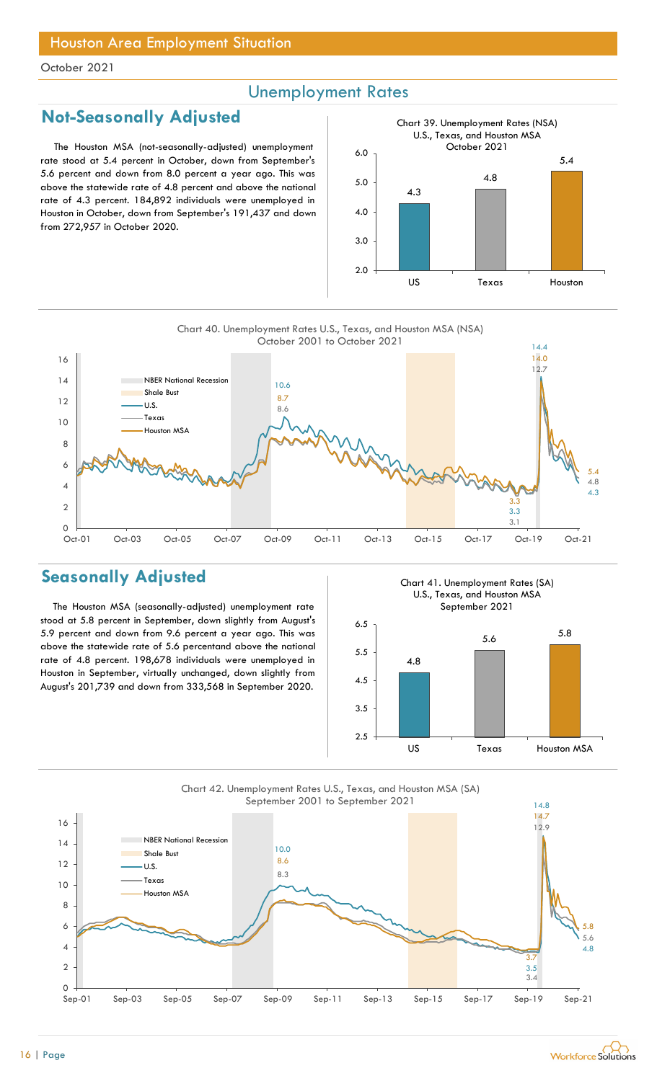## Unemployment Rates

## Not-Seasonally Adjusted

The Houston MSA (not-seasonally-adjusted) unemployment rate stood at 5.4 percent in October, down from September's 5.6 percent and down from 8.0 percent a year ago. This was above the statewide rate of 4.8 percent and above the national rate of 4.3 percent. 184,892 individuals were unemployed in Houston in October, down from September's 191,437 and down from 272,957 in October 2020.





## Seasonally Adjusted

The Houston MSA (seasonally-adjusted) unemployment rate stood at 5.8 percent in September, down slightly from August's 5.9 percent and down from 9.6 percent a year ago. This was above the statewide rate of 5.6 percentand above the national rate of 4.8 percent. 198,678 individuals were unemployed in Houston in September, virtually unchanged, down slightly from August's 201,739 and down from 333,568 in September 2020.

Chart 41. Unemployment Rates (SA) U.S., Texas, and Houston MSA September 2021